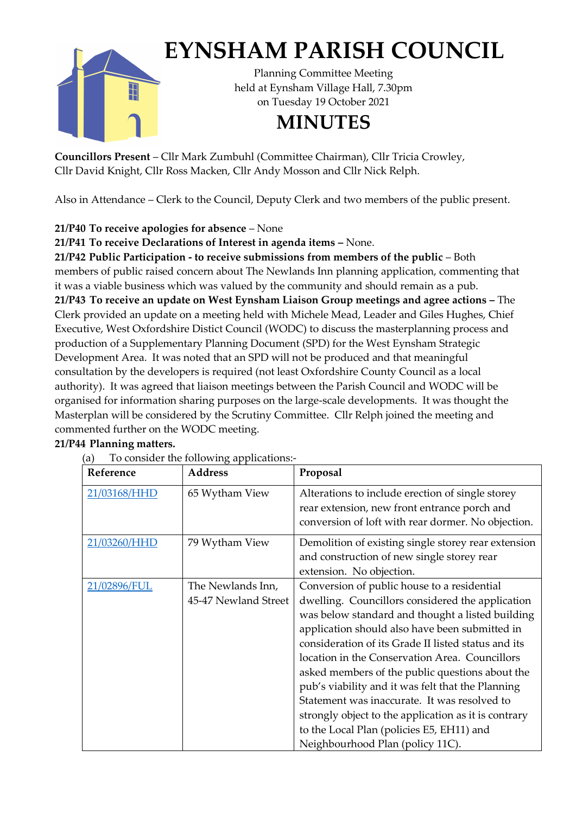

## **EYNSHAM PARISH COUNCIL**

Planning Committee Meeting held at Eynsham Village Hall, 7.30pm on Tuesday 19 October 2021

## **MINUTES**

**Councillors Present** – Cllr Mark Zumbuhl (Committee Chairman), Cllr Tricia Crowley, Cllr David Knight, Cllr Ross Macken, Cllr Andy Mosson and Cllr Nick Relph.

Also in Attendance – Clerk to the Council, Deputy Clerk and two members of the public present.

## **21/P40 To receive apologies for absence** – None

**21/P41 To receive Declarations of Interest in agenda items –** None.

**21/P42 Public Participation - to receive submissions from members of the public** – Both members of public raised concern about The Newlands Inn planning application, commenting that it was a viable business which was valued by the community and should remain as a pub. **21/P43 To receive an update on West Eynsham Liaison Group meetings and agree actions –** The Clerk provided an update on a meeting held with Michele Mead, Leader and Giles Hughes, Chief Executive, West Oxfordshire Distict Council (WODC) to discuss the masterplanning process and production of a Supplementary Planning Document (SPD) for the West Eynsham Strategic Development Area. It was noted that an SPD will not be produced and that meaningful consultation by the developers is required (not least Oxfordshire County Council as a local authority). It was agreed that liaison meetings between the Parish Council and WODC will be organised for information sharing purposes on the large-scale developments. It was thought the Masterplan will be considered by the Scrutiny Committee. Cllr Relph joined the meeting and commented further on the WODC meeting.

## **21/P44 Planning matters.**

(a) To consider the following applications:-

| re consider the rond ward applications |                      |                                                      |
|----------------------------------------|----------------------|------------------------------------------------------|
| Reference                              | <b>Address</b>       | Proposal                                             |
| 21/03168/HHD                           | 65 Wytham View       | Alterations to include erection of single storey     |
|                                        |                      | rear extension, new front entrance porch and         |
|                                        |                      | conversion of loft with rear dormer. No objection.   |
| 21/03260/HHD                           | 79 Wytham View       | Demolition of existing single storey rear extension  |
|                                        |                      | and construction of new single storey rear           |
|                                        |                      | extension. No objection.                             |
| 21/02896/FUL                           | The Newlands Inn,    | Conversion of public house to a residential          |
|                                        |                      |                                                      |
|                                        | 45-47 Newland Street | dwelling. Councillors considered the application     |
|                                        |                      | was below standard and thought a listed building     |
|                                        |                      | application should also have been submitted in       |
|                                        |                      | consideration of its Grade II listed status and its  |
|                                        |                      | location in the Conservation Area. Councillors       |
|                                        |                      | asked members of the public questions about the      |
|                                        |                      | pub's viability and it was felt that the Planning    |
|                                        |                      | Statement was inaccurate. It was resolved to         |
|                                        |                      | strongly object to the application as it is contrary |
|                                        |                      | to the Local Plan (policies E5, EH11) and            |
|                                        |                      | Neighbourhood Plan (policy 11C).                     |